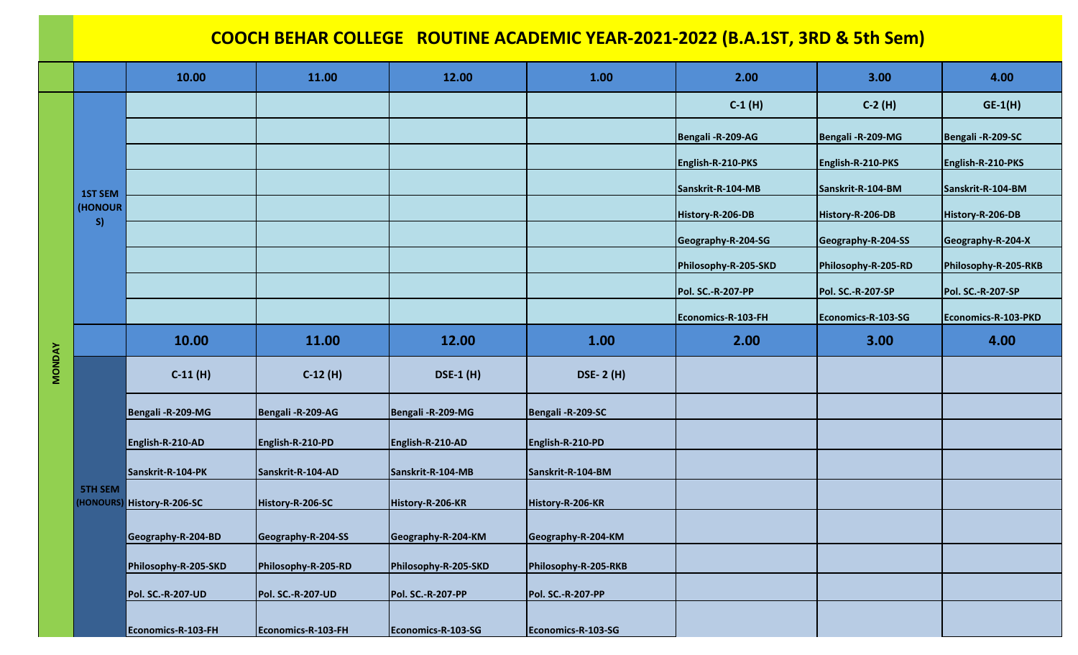## **COOCH BEHAR COLLEGE ROUTINE ACADEMIC YEAR-2021-2022 (B.A.1ST, 3RD & 5th Sem)**

|               |                | 10.00                      | 11.00                    | 12.00                    | 1.00                     | 2.00                     | 3.00                     | 4.00                 |
|---------------|----------------|----------------------------|--------------------------|--------------------------|--------------------------|--------------------------|--------------------------|----------------------|
|               |                |                            |                          |                          |                          | $C-1(H)$                 | $C-2(H)$                 | $GE-1(H)$            |
|               |                |                            |                          |                          |                          | Bengali - R-209-AG       | Bengali-R-209-MG         | Bengali-R-209-SC     |
|               |                |                            |                          |                          |                          | English-R-210-PKS        | English-R-210-PKS        | English-R-210-PKS    |
|               | <b>1ST SEM</b> |                            |                          |                          |                          | Sanskrit-R-104-MB        | Sanskrit-R-104-BM        | Sanskrit-R-104-BM    |
|               | (HONOUR<br>S)  |                            |                          |                          |                          | History-R-206-DB         | History-R-206-DB         | History-R-206-DB     |
|               |                |                            |                          |                          |                          | Geography-R-204-SG       | Geography-R-204-SS       | Geography-R-204-X    |
|               |                |                            |                          |                          |                          | Philosophy-R-205-SKD     | Philosophy-R-205-RD      | Philosophy-R-205-RKB |
|               |                |                            |                          |                          |                          | <b>Pol. SC.-R-207-PP</b> | <b>Pol. SC.-R-207-SP</b> | Pol. SC.-R-207-SP    |
|               |                |                            |                          |                          |                          | Economics-R-103-FH       | Economics-R-103-SG       | Economics-R-103-PKD  |
|               |                | 10.00                      | 11.00                    | 12.00                    | 1.00                     | 2.00                     | 3.00                     | 4.00                 |
| <b>MONDAY</b> | <b>5TH SEM</b> | $C-11(H)$                  | $C-12(H)$                | <b>DSE-1 (H)</b>         | <b>DSE-2 (H)</b>         |                          |                          |                      |
|               |                | Bengali-R-209-MG           | Bengali - R-209-AG       | Bengali - R-209-MG       | Bengali-R-209-SC         |                          |                          |                      |
|               |                | English-R-210-AD           | English-R-210-PD         | English-R-210-AD         | English-R-210-PD         |                          |                          |                      |
|               |                | Sanskrit-R-104-PK          | Sanskrit-R-104-AD        | Sanskrit-R-104-MB        | Sanskrit-R-104-BM        |                          |                          |                      |
|               |                | (HONOURS) History-R-206-SC | History-R-206-SC         | History-R-206-KR         | History-R-206-KR         |                          |                          |                      |
|               |                | Geography-R-204-BD         | Geography-R-204-SS       | Geography-R-204-KM       | Geography-R-204-KM       |                          |                          |                      |
|               |                | Philosophy-R-205-SKD       | Philosophy-R-205-RD      | Philosophy-R-205-SKD     | Philosophy-R-205-RKB     |                          |                          |                      |
|               |                | <b>Pol. SC.-R-207-UD</b>   | <b>Pol. SC.-R-207-UD</b> | <b>Pol. SC.-R-207-PP</b> | <b>Pol. SC.-R-207-PP</b> |                          |                          |                      |
|               |                | Economics-R-103-FH         | Economics-R-103-FH       | Economics-R-103-SG       | Economics-R-103-SG       |                          |                          |                      |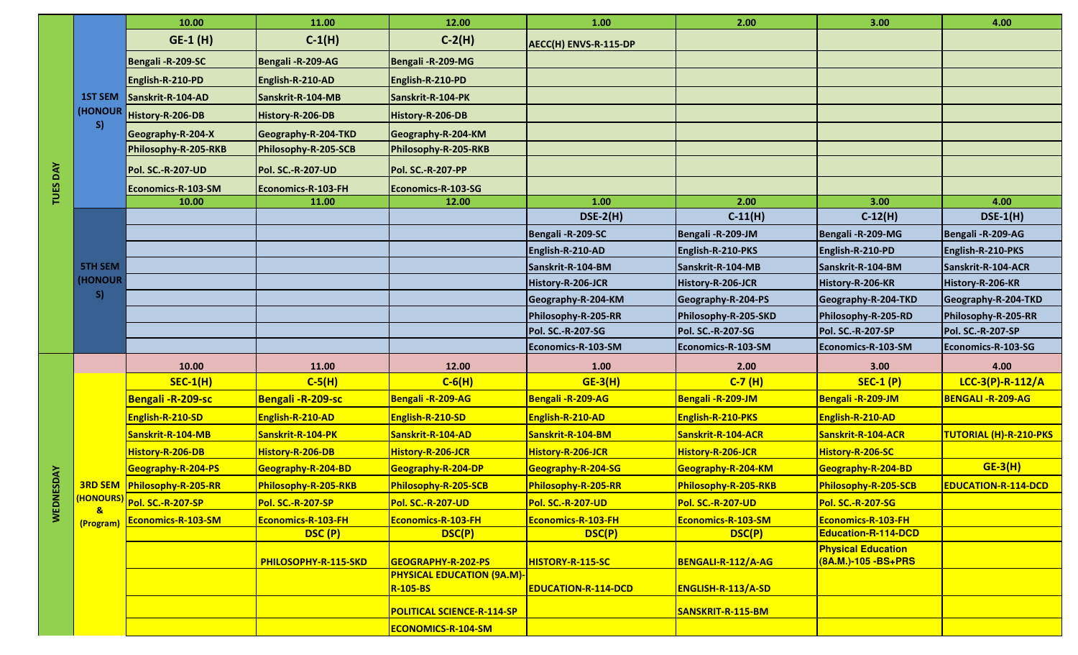|                  |                                        | 10.00                              | 11.00                    | 12.00                             | 1.00                       | 2.00                 | 3.00                                              | 4.00                          |
|------------------|----------------------------------------|------------------------------------|--------------------------|-----------------------------------|----------------------------|----------------------|---------------------------------------------------|-------------------------------|
|                  |                                        | GE-1 (H)                           | $C-1(H)$                 | $C-2(H)$                          | AECC(H) ENVS-R-115-DP      |                      |                                                   |                               |
|                  |                                        | Bengali-R-209-SC                   | Bengali - R-209-AG       | Bengali - R-209-MG                |                            |                      |                                                   |                               |
|                  |                                        | English-R-210-PD                   | English-R-210-AD         | English-R-210-PD                  |                            |                      |                                                   |                               |
|                  | <b>1ST SEM</b>                         | Sanskrit-R-104-AD                  | Sanskrit-R-104-MB        | Sanskrit-R-104-PK                 |                            |                      |                                                   |                               |
|                  | (HONOUR                                | History-R-206-DB                   | History-R-206-DB         | History-R-206-DB                  |                            |                      |                                                   |                               |
|                  | S)                                     | Geography-R-204-X                  | Geography-R-204-TKD      | Geography-R-204-KM                |                            |                      |                                                   |                               |
|                  |                                        | Philosophy-R-205-RKB               | Philosophy-R-205-SCB     | Philosophy-R-205-RKB              |                            |                      |                                                   |                               |
|                  |                                        | <b>Pol. SC.-R-207-UD</b>           | <b>Pol. SC.-R-207-UD</b> | <b>Pol. SC.-R-207-PP</b>          |                            |                      |                                                   |                               |
| TUES DAY         |                                        | Economics-R-103-SM                 | Economics-R-103-FH       | Economics-R-103-SG                |                            |                      |                                                   |                               |
|                  |                                        | 10.00                              | 11.00                    | 12.00                             | 1.00                       | 2.00                 | 3.00                                              | 4.00                          |
|                  |                                        |                                    |                          |                                   | $DSE-2(H)$                 | $C-11(H)$            | $C-12(H)$                                         | $DSE-1(H)$                    |
|                  |                                        |                                    |                          |                                   | Bengali-R-209-SC           | Bengali-R-209-JM     | Bengali - R-209-MG                                | Bengali-R-209-AG              |
|                  |                                        |                                    |                          |                                   | English-R-210-AD           | English-R-210-PKS    | English-R-210-PD                                  | English-R-210-PKS             |
| <b>WEDNESDAY</b> | <b>5TH SEM</b>                         |                                    |                          |                                   | Sanskrit-R-104-BM          | Sanskrit-R-104-MB    | Sanskrit-R-104-BM                                 | Sanskrit-R-104-ACR            |
|                  | (HONOUR                                |                                    |                          |                                   | History-R-206-JCR          | History-R-206-JCR    | History-R-206-KR                                  | History-R-206-KR              |
|                  | S)                                     |                                    |                          |                                   | Geography-R-204-KM         | Geography-R-204-PS   | Geography-R-204-TKD                               | Geography-R-204-TKD           |
|                  |                                        |                                    |                          |                                   | Philosophy-R-205-RR        | Philosophy-R-205-SKD | Philosophy-R-205-RD                               | Philosophy-R-205-RR           |
|                  |                                        |                                    |                          |                                   | Pol. SC.-R-207-SG          | Pol. SC.-R-207-SG    | <b>Pol. SC.-R-207-SP</b>                          | <b>Pol. SC.-R-207-SP</b>      |
|                  |                                        |                                    |                          |                                   | Economics-R-103-SM         | Economics-R-103-SM   | Economics-R-103-SM                                | Economics-R-103-SG            |
|                  |                                        | 10.00                              | 11.00                    | 12.00                             | 1.00                       | 2.00                 | 3.00                                              | 4.00                          |
|                  |                                        | $SEC-1(H)$                         | $C-5(H)$                 | $C-6(H)$                          | $GE-3(H)$                  | $C-7(H)$             | <b>SEC-1 (P)</b>                                  | LCC-3(P)-R-112/A              |
|                  | (HONOURS)<br>$\mathbf{a}$<br>(Program) | <b>Bengali-R-209-sc</b>            | <b>Bengali-R-209-sc</b>  | Bengali - R-209-AG                | Bengali-R-209-AG           | Bengali-R-209-JM     | Bengali-R-209-JM                                  | <b>BENGALI - R-209-AG</b>     |
|                  |                                        | English-R-210-SD                   | English-R-210-AD         | <b>English-R-210-SD</b>           | English-R-210-AD           | English-R-210-PKS    | English-R-210-AD                                  |                               |
|                  |                                        | Sanskrit-R-104-MB                  | Sanskrit-R-104-PK        | Sanskrit-R-104-AD                 | Sanskrit-R-104-BM          | Sanskrit-R-104-ACR   | Sanskrit-R-104-ACR                                | <b>TUTORIAL (H)-R-210-PKS</b> |
|                  |                                        | History-R-206-DB                   | History-R-206-DB         | History-R-206-JCR                 | History-R-206-JCR          | History-R-206-JCR    | History-R-206-SC                                  |                               |
|                  |                                        | Geography-R-204-PS                 | Geography-R-204-BD       | Geography-R-204-DP                | Geography-R-204-SG         | Geography-R-204-KM   | Geography-R-204-BD                                | $GE-3(H)$                     |
|                  |                                        | <b>3RD SEM Philosophy-R-205-RR</b> | Philosophy-R-205-RKB     | <b>Philosophy-R-205-SCB</b>       | Philosophy-R-205-RR        | Philosophy-R-205-RKB | Philosophy-R-205-SCB                              | <b>EDUCATION-R-114-DCD</b>    |
|                  |                                        | Pol. SC.-R-207-SP                  | Pol. SC.-R-207-SP        | Pol. SC.-R-207-UD                 | Pol. SC.-R-207-UD          | Pol. SC.-R-207-UD    | Pol. SC.-R-207-SG                                 |                               |
|                  |                                        | Economics-R-103-SM                 | Economics-R-103-FH       | <b>Economics-R-103-FH</b>         | Economics-R-103-FH         | Economics-R-103-SM   | Economics-R-103-FH                                |                               |
|                  |                                        |                                    | DSC(P)                   | DSC(P)                            | DSC(P)                     | DSC(P)               | Education-R-114-DCD                               |                               |
|                  |                                        |                                    | PHILOSOPHY-R-115-SKD     | GEOGRAPHY-R-202-PS                | <b>HISTORY-R-115-SC</b>    | BENGALI-R-112/A-AG   | <b>Physical Education</b><br>(8A.M.)-105 - BS+PRS |                               |
|                  |                                        |                                    |                          | <b>PHYSICAL EDUCATION (9A.M)-</b> |                            |                      |                                                   |                               |
|                  |                                        |                                    |                          | <b>R-105-BS</b>                   | <b>EDUCATION-R-114-DCD</b> | ENGLISH-R-113/A-SD   |                                                   |                               |
|                  |                                        |                                    |                          | <b>POLITICAL SCIENCE-R-114-SP</b> |                            | SANSKRIT-R-115-BM    |                                                   |                               |
|                  |                                        |                                    |                          | <b>ECONOMICS-R-104-SM</b>         |                            |                      |                                                   |                               |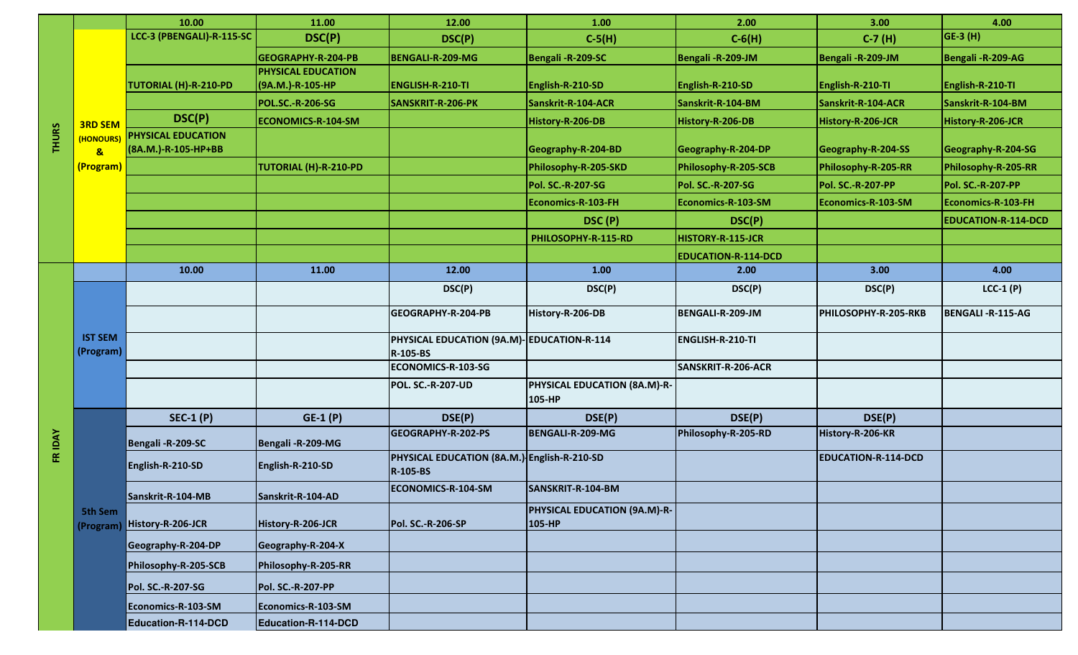| LCC-3 (PBENGALI)-R-115-SC<br>GE-3 (H)<br>DSC(P)<br>$C-5(H)$<br>$C-6(H)$<br>DSC(P)<br>$C-7(H)$<br>GEOGRAPHY-R-204-PB<br><b>BENGALI-R-209-MG</b><br>Bengali-R-209-SC<br>Bengali-R-209-JM<br>Bengali-R-209-JM<br>Bengali-R-209-AG<br><b>PHYSICAL EDUCATION</b><br>TUTORIAL (H)-R-210-PD<br>(9A.M.)-R-105-HP<br><b>ENGLISH-R-210-TI</b><br>English-R-210-SD<br>English-R-210-SD<br>English-R-210-TI<br>English-R-210-TI<br>Sanskrit-R-104-BM<br><b>POL.SC.-R-206-SG</b><br>SANSKRIT-R-206-PK<br>Sanskrit-R-104-ACR<br>Sanskrit-R-104-ACR<br>Sanskrit-R-104-BM<br>DSC(P)<br><b>ECONOMICS-R-104-SM</b><br>History-R-206-DB<br>History-R-206-DB<br>History-R-206-JCR<br>History-R-206-JCR<br><b>3RD SEM</b><br><b>THURS</b><br><b>PHYSICAL EDUCATION</b><br>(HONOURS)<br>(8A.M.)-R-105-HP+BB<br>Geography-R-204-BD<br>Geography-R-204-DP<br>Geography-R-204-SS<br>Geography-R-204-SG<br>$\mathbf{a}$<br>TUTORIAL (H)-R-210-PD<br>Philosophy-R-205-SKD<br>Philosophy-R-205-SCB<br>Philosophy-R-205-RR<br>Philosophy-R-205-RR<br>(Program)<br>Pol. SC.-R-207-SG<br>Pol. SC.-R-207-SG<br>Pol. SC.-R-207-PP<br>Pol. SC.-R-207-PP<br>Economics-R-103-FH<br>Economics-R-103-SM<br>Economics-R-103-SM<br>Economics-R-103-FH<br>DSC (P)<br>DSC(P)<br><b>EDUCATION-R-114-DCD</b><br>PHILOSOPHY-R-115-RD<br>HISTORY-R-115-JCR<br><b>EDUCATION-R-114-DCD</b><br>1.00<br>3.00<br>10.00<br>11.00<br>12.00<br>4.00<br>2.00<br>$LCC-1(P)$<br>DSC(P)<br>DSC(P)<br>DSC(P)<br>DSC(P)<br>GEOGRAPHY-R-204-PB<br>History-R-206-DB<br>BENGALI-R-209-JM<br>PHILOSOPHY-R-205-RKB<br><b>BENGALI - R-115-AG</b><br><b>IST SEM</b><br>PHYSICAL EDUCATION (9A.M)-EDUCATION-R-114<br><b>ENGLISH-R-210-TI</b><br>(Program)<br>R-105-BS<br>ECONOMICS-R-103-SG<br>SANSKRIT-R-206-ACR<br><b>POL. SC.-R-207-UD</b><br>PHYSICAL EDUCATION (8A.M)-R-<br>105-HP<br>$GE-1(P)$<br>DSE(P)<br>DSE(P)<br>DSE(P)<br>DSE(P)<br>$SEC-1(P)$<br>FR IDAY<br>GEOGRAPHY-R-202-PS<br>BENGALI-R-209-MG<br>Philosophy-R-205-RD<br>History-R-206-KR<br>Bengali-R-209-SC<br>Bengali - R-209-MG<br>PHYSICAL EDUCATION (8A.M.) English-R-210-SD<br><b>EDUCATION-R-114-DCD</b><br>English-R-210-SD<br>English-R-210-SD |  |                      | 10.00 | 11.00 | 12.00           | 1.00 | 2.00 | 3.00 | 4.00 |
|-------------------------------------------------------------------------------------------------------------------------------------------------------------------------------------------------------------------------------------------------------------------------------------------------------------------------------------------------------------------------------------------------------------------------------------------------------------------------------------------------------------------------------------------------------------------------------------------------------------------------------------------------------------------------------------------------------------------------------------------------------------------------------------------------------------------------------------------------------------------------------------------------------------------------------------------------------------------------------------------------------------------------------------------------------------------------------------------------------------------------------------------------------------------------------------------------------------------------------------------------------------------------------------------------------------------------------------------------------------------------------------------------------------------------------------------------------------------------------------------------------------------------------------------------------------------------------------------------------------------------------------------------------------------------------------------------------------------------------------------------------------------------------------------------------------------------------------------------------------------------------------------------------------------------------------------------------------------------------------------------------------------------------------------------------------------------------------------------------------------------------------------------------|--|----------------------|-------|-------|-----------------|------|------|------|------|
|                                                                                                                                                                                                                                                                                                                                                                                                                                                                                                                                                                                                                                                                                                                                                                                                                                                                                                                                                                                                                                                                                                                                                                                                                                                                                                                                                                                                                                                                                                                                                                                                                                                                                                                                                                                                                                                                                                                                                                                                                                                                                                                                                       |  |                      |       |       |                 |      |      |      |      |
|                                                                                                                                                                                                                                                                                                                                                                                                                                                                                                                                                                                                                                                                                                                                                                                                                                                                                                                                                                                                                                                                                                                                                                                                                                                                                                                                                                                                                                                                                                                                                                                                                                                                                                                                                                                                                                                                                                                                                                                                                                                                                                                                                       |  |                      |       |       |                 |      |      |      |      |
|                                                                                                                                                                                                                                                                                                                                                                                                                                                                                                                                                                                                                                                                                                                                                                                                                                                                                                                                                                                                                                                                                                                                                                                                                                                                                                                                                                                                                                                                                                                                                                                                                                                                                                                                                                                                                                                                                                                                                                                                                                                                                                                                                       |  |                      |       |       |                 |      |      |      |      |
|                                                                                                                                                                                                                                                                                                                                                                                                                                                                                                                                                                                                                                                                                                                                                                                                                                                                                                                                                                                                                                                                                                                                                                                                                                                                                                                                                                                                                                                                                                                                                                                                                                                                                                                                                                                                                                                                                                                                                                                                                                                                                                                                                       |  |                      |       |       |                 |      |      |      |      |
|                                                                                                                                                                                                                                                                                                                                                                                                                                                                                                                                                                                                                                                                                                                                                                                                                                                                                                                                                                                                                                                                                                                                                                                                                                                                                                                                                                                                                                                                                                                                                                                                                                                                                                                                                                                                                                                                                                                                                                                                                                                                                                                                                       |  |                      |       |       |                 |      |      |      |      |
|                                                                                                                                                                                                                                                                                                                                                                                                                                                                                                                                                                                                                                                                                                                                                                                                                                                                                                                                                                                                                                                                                                                                                                                                                                                                                                                                                                                                                                                                                                                                                                                                                                                                                                                                                                                                                                                                                                                                                                                                                                                                                                                                                       |  |                      |       |       |                 |      |      |      |      |
|                                                                                                                                                                                                                                                                                                                                                                                                                                                                                                                                                                                                                                                                                                                                                                                                                                                                                                                                                                                                                                                                                                                                                                                                                                                                                                                                                                                                                                                                                                                                                                                                                                                                                                                                                                                                                                                                                                                                                                                                                                                                                                                                                       |  |                      |       |       |                 |      |      |      |      |
|                                                                                                                                                                                                                                                                                                                                                                                                                                                                                                                                                                                                                                                                                                                                                                                                                                                                                                                                                                                                                                                                                                                                                                                                                                                                                                                                                                                                                                                                                                                                                                                                                                                                                                                                                                                                                                                                                                                                                                                                                                                                                                                                                       |  |                      |       |       |                 |      |      |      |      |
|                                                                                                                                                                                                                                                                                                                                                                                                                                                                                                                                                                                                                                                                                                                                                                                                                                                                                                                                                                                                                                                                                                                                                                                                                                                                                                                                                                                                                                                                                                                                                                                                                                                                                                                                                                                                                                                                                                                                                                                                                                                                                                                                                       |  |                      |       |       |                 |      |      |      |      |
|                                                                                                                                                                                                                                                                                                                                                                                                                                                                                                                                                                                                                                                                                                                                                                                                                                                                                                                                                                                                                                                                                                                                                                                                                                                                                                                                                                                                                                                                                                                                                                                                                                                                                                                                                                                                                                                                                                                                                                                                                                                                                                                                                       |  |                      |       |       |                 |      |      |      |      |
|                                                                                                                                                                                                                                                                                                                                                                                                                                                                                                                                                                                                                                                                                                                                                                                                                                                                                                                                                                                                                                                                                                                                                                                                                                                                                                                                                                                                                                                                                                                                                                                                                                                                                                                                                                                                                                                                                                                                                                                                                                                                                                                                                       |  |                      |       |       |                 |      |      |      |      |
|                                                                                                                                                                                                                                                                                                                                                                                                                                                                                                                                                                                                                                                                                                                                                                                                                                                                                                                                                                                                                                                                                                                                                                                                                                                                                                                                                                                                                                                                                                                                                                                                                                                                                                                                                                                                                                                                                                                                                                                                                                                                                                                                                       |  |                      |       |       |                 |      |      |      |      |
|                                                                                                                                                                                                                                                                                                                                                                                                                                                                                                                                                                                                                                                                                                                                                                                                                                                                                                                                                                                                                                                                                                                                                                                                                                                                                                                                                                                                                                                                                                                                                                                                                                                                                                                                                                                                                                                                                                                                                                                                                                                                                                                                                       |  |                      |       |       |                 |      |      |      |      |
|                                                                                                                                                                                                                                                                                                                                                                                                                                                                                                                                                                                                                                                                                                                                                                                                                                                                                                                                                                                                                                                                                                                                                                                                                                                                                                                                                                                                                                                                                                                                                                                                                                                                                                                                                                                                                                                                                                                                                                                                                                                                                                                                                       |  |                      |       |       |                 |      |      |      |      |
|                                                                                                                                                                                                                                                                                                                                                                                                                                                                                                                                                                                                                                                                                                                                                                                                                                                                                                                                                                                                                                                                                                                                                                                                                                                                                                                                                                                                                                                                                                                                                                                                                                                                                                                                                                                                                                                                                                                                                                                                                                                                                                                                                       |  |                      |       |       |                 |      |      |      |      |
|                                                                                                                                                                                                                                                                                                                                                                                                                                                                                                                                                                                                                                                                                                                                                                                                                                                                                                                                                                                                                                                                                                                                                                                                                                                                                                                                                                                                                                                                                                                                                                                                                                                                                                                                                                                                                                                                                                                                                                                                                                                                                                                                                       |  |                      |       |       |                 |      |      |      |      |
|                                                                                                                                                                                                                                                                                                                                                                                                                                                                                                                                                                                                                                                                                                                                                                                                                                                                                                                                                                                                                                                                                                                                                                                                                                                                                                                                                                                                                                                                                                                                                                                                                                                                                                                                                                                                                                                                                                                                                                                                                                                                                                                                                       |  |                      |       |       |                 |      |      |      |      |
|                                                                                                                                                                                                                                                                                                                                                                                                                                                                                                                                                                                                                                                                                                                                                                                                                                                                                                                                                                                                                                                                                                                                                                                                                                                                                                                                                                                                                                                                                                                                                                                                                                                                                                                                                                                                                                                                                                                                                                                                                                                                                                                                                       |  |                      |       |       |                 |      |      |      |      |
|                                                                                                                                                                                                                                                                                                                                                                                                                                                                                                                                                                                                                                                                                                                                                                                                                                                                                                                                                                                                                                                                                                                                                                                                                                                                                                                                                                                                                                                                                                                                                                                                                                                                                                                                                                                                                                                                                                                                                                                                                                                                                                                                                       |  |                      |       |       |                 |      |      |      |      |
|                                                                                                                                                                                                                                                                                                                                                                                                                                                                                                                                                                                                                                                                                                                                                                                                                                                                                                                                                                                                                                                                                                                                                                                                                                                                                                                                                                                                                                                                                                                                                                                                                                                                                                                                                                                                                                                                                                                                                                                                                                                                                                                                                       |  |                      |       |       |                 |      |      |      |      |
|                                                                                                                                                                                                                                                                                                                                                                                                                                                                                                                                                                                                                                                                                                                                                                                                                                                                                                                                                                                                                                                                                                                                                                                                                                                                                                                                                                                                                                                                                                                                                                                                                                                                                                                                                                                                                                                                                                                                                                                                                                                                                                                                                       |  | 5th Sem<br>(Program) |       |       |                 |      |      |      |      |
|                                                                                                                                                                                                                                                                                                                                                                                                                                                                                                                                                                                                                                                                                                                                                                                                                                                                                                                                                                                                                                                                                                                                                                                                                                                                                                                                                                                                                                                                                                                                                                                                                                                                                                                                                                                                                                                                                                                                                                                                                                                                                                                                                       |  |                      |       |       |                 |      |      |      |      |
|                                                                                                                                                                                                                                                                                                                                                                                                                                                                                                                                                                                                                                                                                                                                                                                                                                                                                                                                                                                                                                                                                                                                                                                                                                                                                                                                                                                                                                                                                                                                                                                                                                                                                                                                                                                                                                                                                                                                                                                                                                                                                                                                                       |  |                      |       |       | <b>R-105-BS</b> |      |      |      |      |
| ECONOMICS-R-104-SM<br>SANSKRIT-R-104-BM<br>Sanskrit-R-104-MB<br>Sanskrit-R-104-AD                                                                                                                                                                                                                                                                                                                                                                                                                                                                                                                                                                                                                                                                                                                                                                                                                                                                                                                                                                                                                                                                                                                                                                                                                                                                                                                                                                                                                                                                                                                                                                                                                                                                                                                                                                                                                                                                                                                                                                                                                                                                     |  |                      |       |       |                 |      |      |      |      |
| <b>PHYSICAL EDUCATION (9A.M)-R-</b>                                                                                                                                                                                                                                                                                                                                                                                                                                                                                                                                                                                                                                                                                                                                                                                                                                                                                                                                                                                                                                                                                                                                                                                                                                                                                                                                                                                                                                                                                                                                                                                                                                                                                                                                                                                                                                                                                                                                                                                                                                                                                                                   |  |                      |       |       |                 |      |      |      |      |
| History-R-206-JCR<br>History-R-206-JCR<br><b>Pol. SC.-R-206-SP</b><br>105-HP                                                                                                                                                                                                                                                                                                                                                                                                                                                                                                                                                                                                                                                                                                                                                                                                                                                                                                                                                                                                                                                                                                                                                                                                                                                                                                                                                                                                                                                                                                                                                                                                                                                                                                                                                                                                                                                                                                                                                                                                                                                                          |  |                      |       |       |                 |      |      |      |      |
| Geography-R-204-X<br>Geography-R-204-DP                                                                                                                                                                                                                                                                                                                                                                                                                                                                                                                                                                                                                                                                                                                                                                                                                                                                                                                                                                                                                                                                                                                                                                                                                                                                                                                                                                                                                                                                                                                                                                                                                                                                                                                                                                                                                                                                                                                                                                                                                                                                                                               |  |                      |       |       |                 |      |      |      |      |
| Philosophy-R-205-SCB<br>Philosophy-R-205-RR                                                                                                                                                                                                                                                                                                                                                                                                                                                                                                                                                                                                                                                                                                                                                                                                                                                                                                                                                                                                                                                                                                                                                                                                                                                                                                                                                                                                                                                                                                                                                                                                                                                                                                                                                                                                                                                                                                                                                                                                                                                                                                           |  |                      |       |       |                 |      |      |      |      |
| Pol. SC.-R-207-SG<br>Pol. SC.-R-207-PP                                                                                                                                                                                                                                                                                                                                                                                                                                                                                                                                                                                                                                                                                                                                                                                                                                                                                                                                                                                                                                                                                                                                                                                                                                                                                                                                                                                                                                                                                                                                                                                                                                                                                                                                                                                                                                                                                                                                                                                                                                                                                                                |  |                      |       |       |                 |      |      |      |      |
| Economics-R-103-SM<br>Economics-R-103-SM                                                                                                                                                                                                                                                                                                                                                                                                                                                                                                                                                                                                                                                                                                                                                                                                                                                                                                                                                                                                                                                                                                                                                                                                                                                                                                                                                                                                                                                                                                                                                                                                                                                                                                                                                                                                                                                                                                                                                                                                                                                                                                              |  |                      |       |       |                 |      |      |      |      |
| Education-R-114-DCD<br>Education-R-114-DCD                                                                                                                                                                                                                                                                                                                                                                                                                                                                                                                                                                                                                                                                                                                                                                                                                                                                                                                                                                                                                                                                                                                                                                                                                                                                                                                                                                                                                                                                                                                                                                                                                                                                                                                                                                                                                                                                                                                                                                                                                                                                                                            |  |                      |       |       |                 |      |      |      |      |